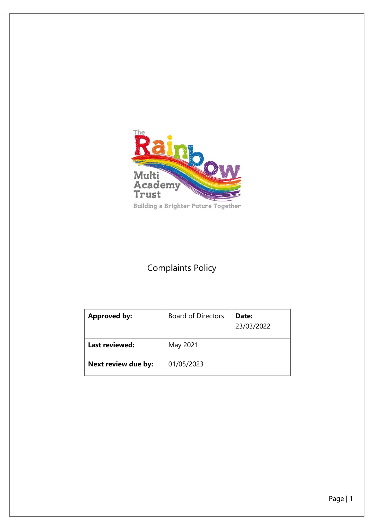

# Complaints Policy

| <b>Approved by:</b>   | <b>Board of Directors</b> | Date:<br>23/03/2022 |
|-----------------------|---------------------------|---------------------|
| <b>Last reviewed:</b> | May 2021                  |                     |
| Next review due by:   | 01/05/2023                |                     |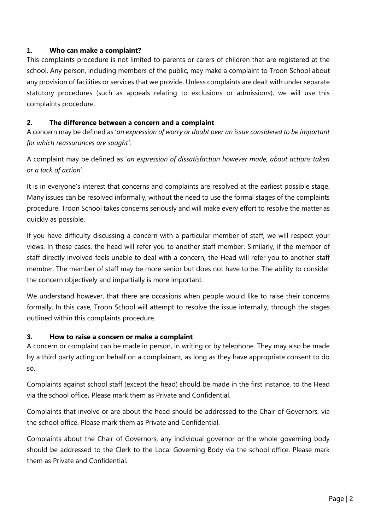#### **1. Who can make a complaint?**

This complaints procedure is not limited to parents or carers of children that are registered at the school. Any person, including members of the public, may make a complaint to Troon School about any provision of facilities or services that we provide. Unless complaints are dealt with under separate statutory procedures (such as appeals relating to exclusions or admissions), we will use this complaints procedure.

#### **2. The difference between a concern and a complaint**

A concern may be defined as '*an expression of worry or doubt over an issue considered to be important for which reassurances are sought'*.

A complaint may be defined as '*an expression of dissatisfaction however made, about actions taken or a lack of action*'.

It is in everyone's interest that concerns and complaints are resolved at the earliest possible stage. Many issues can be resolved informally, without the need to use the formal stages of the complaints procedure. Troon School takes concerns seriously and will make every effort to resolve the matter as quickly as possible.

If you have difficulty discussing a concern with a particular member of staff, we will respect your views. In these cases, the head will refer you to another staff member. Similarly, if the member of staff directly involved feels unable to deal with a concern, the Head will refer you to another staff member. The member of staff may be more senior but does not have to be. The ability to consider the concern objectively and impartially is more important.

We understand however, that there are occasions when people would like to raise their concerns formally. In this case, Troon School will attempt to resolve the issue internally, through the stages outlined within this complaints procedure.

# **3. How to raise a concern or make a complaint**

A concern or complaint can be made in person, in writing or by telephone. They may also be made by a third party acting on behalf on a complainant, as long as they have appropriate consent to do so.

Complaints against school staff (except the head) should be made in the first instance, to the Head via the school office*.* Please mark them as Private and Confidential.

Complaints that involve or are about the head should be addressed to the Chair of Governors, via the school office. Please mark them as Private and Confidential.

Complaints about the Chair of Governors, any individual governor or the whole governing body should be addressed to the Clerk to the Local Governing Body via the school office. Please mark them as Private and Confidential.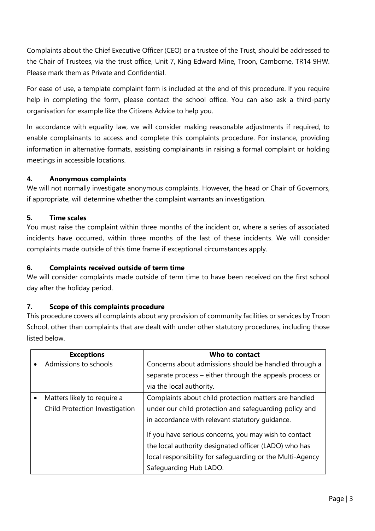Complaints about the Chief Executive Officer (CEO) or a trustee of the Trust, should be addressed to the Chair of Trustees, via the trust office, Unit 7, King Edward Mine, Troon, Camborne, TR14 9HW. Please mark them as Private and Confidential.

For ease of use, a template complaint form is included at the end of this procedure. If you require help in completing the form, please contact the school office. You can also ask a third-party organisation for example like the Citizens Advice to help you.

In accordance with equality law, we will consider making reasonable adjustments if required, to enable complainants to access and complete this complaints procedure. For instance, providing information in alternative formats, assisting complainants in raising a formal complaint or holding meetings in accessible locations.

#### **4. Anonymous complaints**

We will not normally investigate anonymous complaints. However, the head or Chair of Governors, if appropriate, will determine whether the complaint warrants an investigation.

#### **5. Time scales**

You must raise the complaint within three months of the incident or, where a series of associated incidents have occurred, within three months of the last of these incidents. We will consider complaints made outside of this time frame if exceptional circumstances apply.

#### **6. Complaints received outside of term time**

We will consider complaints made outside of term time to have been received on the first school day after the holiday period.

# **7. Scope of this complaints procedure**

This procedure covers all complaints about any provision of community facilities or services by Troon School, other than complaints that are dealt with under other statutory procedures, including those listed below.

|           | <b>Exceptions</b>              | Who to contact                                            |  |
|-----------|--------------------------------|-----------------------------------------------------------|--|
|           | Admissions to schools          | Concerns about admissions should be handled through a     |  |
|           |                                | separate process - either through the appeals process or  |  |
|           |                                | via the local authority.                                  |  |
| $\bullet$ | Matters likely to require a    | Complaints about child protection matters are handled     |  |
|           | Child Protection Investigation | under our child protection and safeguarding policy and    |  |
|           |                                | in accordance with relevant statutory quidance.           |  |
|           |                                | If you have serious concerns, you may wish to contact     |  |
|           |                                | the local authority designated officer (LADO) who has     |  |
|           |                                | local responsibility for safeguarding or the Multi-Agency |  |
|           |                                | Safeguarding Hub LADO.                                    |  |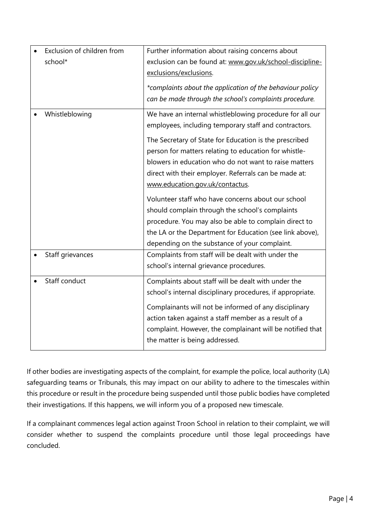| Exclusion of children from<br>school* | Further information about raising concerns about<br>exclusion can be found at: www.gov.uk/school-discipline-<br>exclusions/exclusions.<br>*complaints about the application of the behaviour policy<br>can be made through the school's complaints procedure.                                                                                                                                                                                                                                                                                                                                                                                                            |
|---------------------------------------|--------------------------------------------------------------------------------------------------------------------------------------------------------------------------------------------------------------------------------------------------------------------------------------------------------------------------------------------------------------------------------------------------------------------------------------------------------------------------------------------------------------------------------------------------------------------------------------------------------------------------------------------------------------------------|
| Whistleblowing                        | We have an internal whistleblowing procedure for all our<br>employees, including temporary staff and contractors.<br>The Secretary of State for Education is the prescribed<br>person for matters relating to education for whistle-<br>blowers in education who do not want to raise matters<br>direct with their employer. Referrals can be made at:<br>www.education.gov.uk/contactus.<br>Volunteer staff who have concerns about our school<br>should complain through the school's complaints<br>procedure. You may also be able to complain direct to<br>the LA or the Department for Education (see link above),<br>depending on the substance of your complaint. |
| Staff grievances                      | Complaints from staff will be dealt with under the<br>school's internal grievance procedures.                                                                                                                                                                                                                                                                                                                                                                                                                                                                                                                                                                            |
| Staff conduct                         | Complaints about staff will be dealt with under the<br>school's internal disciplinary procedures, if appropriate.<br>Complainants will not be informed of any disciplinary<br>action taken against a staff member as a result of a<br>complaint. However, the complainant will be notified that<br>the matter is being addressed.                                                                                                                                                                                                                                                                                                                                        |

If other bodies are investigating aspects of the complaint, for example the police, local authority (LA) safeguarding teams or Tribunals, this may impact on our ability to adhere to the timescales within this procedure or result in the procedure being suspended until those public bodies have completed their investigations. If this happens, we will inform you of a proposed new timescale.

If a complainant commences legal action against Troon School in relation to their complaint, we will consider whether to suspend the complaints procedure until those legal proceedings have concluded.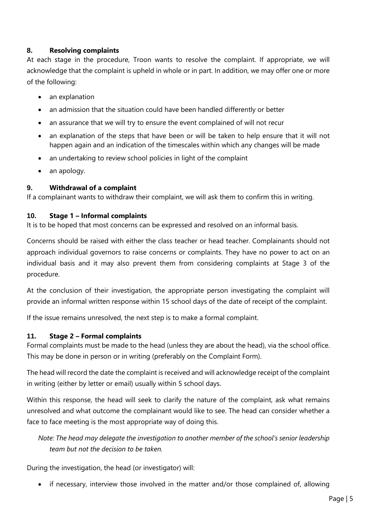# **8. Resolving complaints**

At each stage in the procedure, Troon wants to resolve the complaint. If appropriate, we will acknowledge that the complaint is upheld in whole or in part. In addition, we may offer one or more of the following:

- an explanation
- an admission that the situation could have been handled differently or better
- an assurance that we will try to ensure the event complained of will not recur
- an explanation of the steps that have been or will be taken to help ensure that it will not happen again and an indication of the timescales within which any changes will be made
- an undertaking to review school policies in light of the complaint
- an apology.

#### **9. Withdrawal of a complaint**

If a complainant wants to withdraw their complaint, we will ask them to confirm this in writing.

#### **10. Stage 1 – Informal complaints**

It is to be hoped that most concerns can be expressed and resolved on an informal basis.

Concerns should be raised with either the class teacher or head teacher. Complainants should not approach individual governors to raise concerns or complaints. They have no power to act on an individual basis and it may also prevent them from considering complaints at Stage 3 of the procedure.

At the conclusion of their investigation, the appropriate person investigating the complaint will provide an informal written response within 15 school days of the date of receipt of the complaint.

If the issue remains unresolved, the next step is to make a formal complaint.

#### **11. Stage 2 – Formal complaints**

Formal complaints must be made to the head (unless they are about the head), via the school office. This may be done in person or in writing (preferably on the Complaint Form).

The head will record the date the complaint is received and will acknowledge receipt of the complaint in writing (either by letter or email) usually within 5 school days.

Within this response, the head will seek to clarify the nature of the complaint, ask what remains unresolved and what outcome the complainant would like to see. The head can consider whether a face to face meeting is the most appropriate way of doing this.

*Note: The head may delegate the investigation to another member of the school's senior leadership team but not the decision to be taken.*

During the investigation, the head (or investigator) will:

• if necessary, interview those involved in the matter and/or those complained of, allowing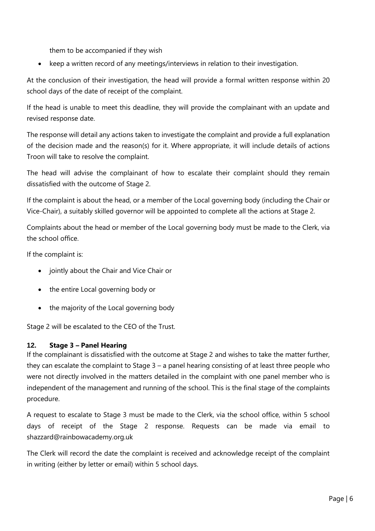them to be accompanied if they wish

• keep a written record of any meetings/interviews in relation to their investigation.

At the conclusion of their investigation, the head will provide a formal written response within 20 school days of the date of receipt of the complaint.

If the head is unable to meet this deadline, they will provide the complainant with an update and revised response date.

The response will detail any actions taken to investigate the complaint and provide a full explanation of the decision made and the reason(s) for it. Where appropriate, it will include details of actions Troon will take to resolve the complaint.

The head will advise the complainant of how to escalate their complaint should they remain dissatisfied with the outcome of Stage 2.

If the complaint is about the head, or a member of the Local governing body (including the Chair or Vice-Chair), a suitably skilled governor will be appointed to complete all the actions at Stage 2.

Complaints about the head or member of the Local governing body must be made to the Clerk, via the school office.

If the complaint is:

- jointly about the Chair and Vice Chair or
- the entire Local governing body or
- the majority of the Local governing body

Stage 2 will be escalated to the CEO of the Trust.

# **12. Stage 3 – Panel Hearing**

If the complainant is dissatisfied with the outcome at Stage 2 and wishes to take the matter further, they can escalate the complaint to Stage 3 – a panel hearing consisting of at least three people who were not directly involved in the matters detailed in the complaint with one panel member who is independent of the management and running of the school. This is the final stage of the complaints procedure.

A request to escalate to Stage 3 must be made to the Clerk, via the school office, within 5 school days of receipt of the Stage 2 response. Requests can be made via email to shazzard@rainbowacademy.org.uk

The Clerk will record the date the complaint is received and acknowledge receipt of the complaint in writing (either by letter or email) within 5 school days.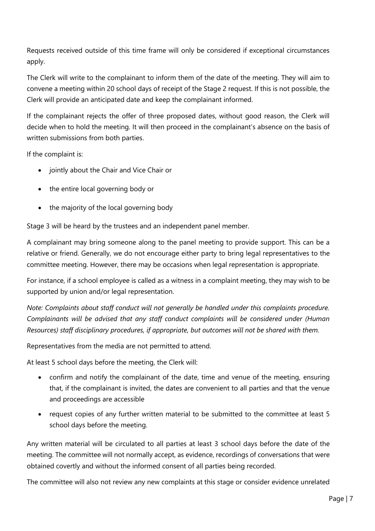Requests received outside of this time frame will only be considered if exceptional circumstances apply.

The Clerk will write to the complainant to inform them of the date of the meeting. They will aim to convene a meeting within 20 school days of receipt of the Stage 2 request. If this is not possible, the Clerk will provide an anticipated date and keep the complainant informed.

If the complainant rejects the offer of three proposed dates, without good reason, the Clerk will decide when to hold the meeting. It will then proceed in the complainant's absence on the basis of written submissions from both parties.

If the complaint is:

- jointly about the Chair and Vice Chair or
- the entire local governing body or
- the majority of the local governing body

Stage 3 will be heard by the trustees and an independent panel member.

A complainant may bring someone along to the panel meeting to provide support. This can be a relative or friend. Generally, we do not encourage either party to bring legal representatives to the committee meeting. However, there may be occasions when legal representation is appropriate.

For instance, if a school employee is called as a witness in a complaint meeting, they may wish to be supported by union and/or legal representation.

*Note: Complaints about staff conduct will not generally be handled under this complaints procedure. Complainants will be advised that any staff conduct complaints will be considered under (Human Resources) staff disciplinary procedures, if appropriate, but outcomes will not be shared with them.* 

Representatives from the media are not permitted to attend.

At least 5 school days before the meeting, the Clerk will:

- confirm and notify the complainant of the date, time and venue of the meeting, ensuring that, if the complainant is invited, the dates are convenient to all parties and that the venue and proceedings are accessible
- request copies of any further written material to be submitted to the committee at least 5 school days before the meeting.

Any written material will be circulated to all parties at least 3 school days before the date of the meeting. The committee will not normally accept, as evidence, recordings of conversations that were obtained covertly and without the informed consent of all parties being recorded.

The committee will also not review any new complaints at this stage or consider evidence unrelated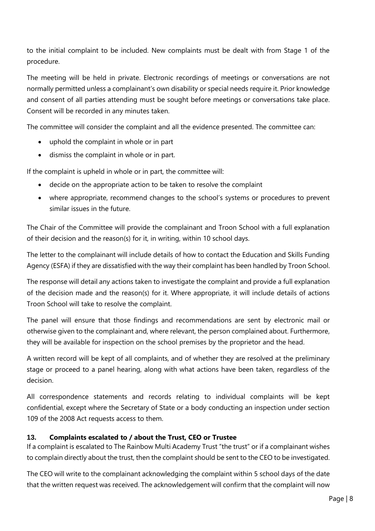to the initial complaint to be included. New complaints must be dealt with from Stage 1 of the procedure.

The meeting will be held in private. Electronic recordings of meetings or conversations are not normally permitted unless a complainant's own disability or special needs require it. Prior knowledge and consent of all parties attending must be sought before meetings or conversations take place. Consent will be recorded in any minutes taken.

The committee will consider the complaint and all the evidence presented. The committee can:

- uphold the complaint in whole or in part
- dismiss the complaint in whole or in part.

If the complaint is upheld in whole or in part, the committee will:

- decide on the appropriate action to be taken to resolve the complaint
- where appropriate, recommend changes to the school's systems or procedures to prevent similar issues in the future.

The Chair of the Committee will provide the complainant and Troon School with a full explanation of their decision and the reason(s) for it, in writing, within 10 school days.

The letter to the complainant will include details of how to contact the Education and Skills Funding Agency (ESFA) if they are dissatisfied with the way their complaint has been handled by Troon School.

The response will detail any actions taken to investigate the complaint and provide a full explanation of the decision made and the reason(s) for it. Where appropriate, it will include details of actions Troon School will take to resolve the complaint.

The panel will ensure that those findings and recommendations are sent by electronic mail or otherwise given to the complainant and, where relevant, the person complained about. Furthermore, they will be available for inspection on the school premises by the proprietor and the head.

A written record will be kept of all complaints, and of whether they are resolved at the preliminary stage or proceed to a panel hearing, along with what actions have been taken, regardless of the decision.

All correspondence statements and records relating to individual complaints will be kept confidential, except where the Secretary of State or a body conducting an inspection under section 109 of the 2008 Act requests access to them.

#### **13. Complaints escalated to / about the Trust, CEO or Trustee**

If a complaint is escalated to The Rainbow Multi Academy Trust "the trust" or if a complainant wishes to complain directly about the trust, then the complaint should be sent to the CEO to be investigated.

The CEO will write to the complainant acknowledging the complaint within 5 school days of the date that the written request was received. The acknowledgement will confirm that the complaint will now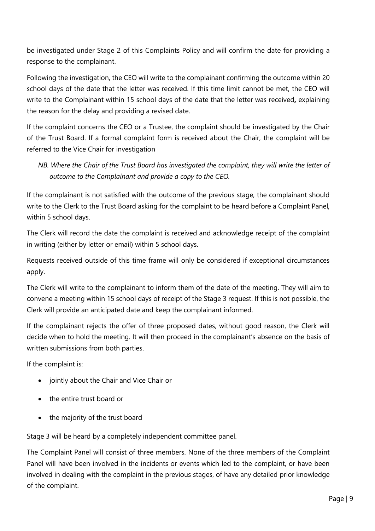be investigated under Stage 2 of this Complaints Policy and will confirm the date for providing a response to the complainant.

Following the investigation, the CEO will write to the complainant confirming the outcome within 20 school days of the date that the letter was received. If this time limit cannot be met, the CEO will write to the Complainant within 15 school days of the date that the letter was received**,** explaining the reason for the delay and providing a revised date.

If the complaint concerns the CEO or a Trustee, the complaint should be investigated by the Chair of the Trust Board. If a formal complaint form is received about the Chair, the complaint will be referred to the Vice Chair for investigation

*NB. Where the Chair of the Trust Board has investigated the complaint, they will write the letter of outcome to the Complainant and provide a copy to the CEO.* 

If the complainant is not satisfied with the outcome of the previous stage, the complainant should write to the Clerk to the Trust Board asking for the complaint to be heard before a Complaint Panel, within 5 school days.

The Clerk will record the date the complaint is received and acknowledge receipt of the complaint in writing (either by letter or email) within 5 school days.

Requests received outside of this time frame will only be considered if exceptional circumstances apply.

The Clerk will write to the complainant to inform them of the date of the meeting. They will aim to convene a meeting within 15 school days of receipt of the Stage 3 request. If this is not possible, the Clerk will provide an anticipated date and keep the complainant informed.

If the complainant rejects the offer of three proposed dates, without good reason, the Clerk will decide when to hold the meeting. It will then proceed in the complainant's absence on the basis of written submissions from both parties.

If the complaint is:

- jointly about the Chair and Vice Chair or
- the entire trust board or
- the majority of the trust board

Stage 3 will be heard by a completely independent committee panel.

The Complaint Panel will consist of three members. None of the three members of the Complaint Panel will have been involved in the incidents or events which led to the complaint, or have been involved in dealing with the complaint in the previous stages, of have any detailed prior knowledge of the complaint.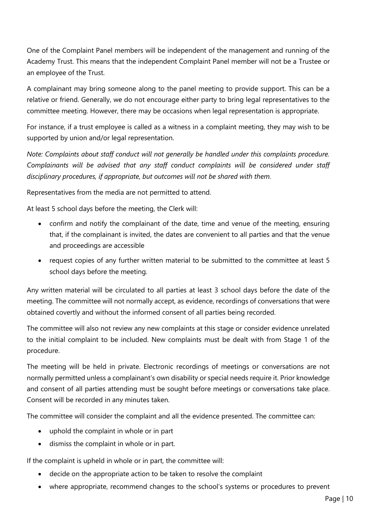One of the Complaint Panel members will be independent of the management and running of the Academy Trust. This means that the independent Complaint Panel member will not be a Trustee or an employee of the Trust.

A complainant may bring someone along to the panel meeting to provide support. This can be a relative or friend. Generally, we do not encourage either party to bring legal representatives to the committee meeting. However, there may be occasions when legal representation is appropriate.

For instance, if a trust employee is called as a witness in a complaint meeting, they may wish to be supported by union and/or legal representation.

*Note: Complaints about staff conduct will not generally be handled under this complaints procedure. Complainants will be advised that any staff conduct complaints will be considered under staff disciplinary procedures, if appropriate, but outcomes will not be shared with them.* 

Representatives from the media are not permitted to attend.

At least 5 school days before the meeting, the Clerk will:

- confirm and notify the complainant of the date, time and venue of the meeting, ensuring that, if the complainant is invited, the dates are convenient to all parties and that the venue and proceedings are accessible
- request copies of any further written material to be submitted to the committee at least 5 school days before the meeting.

Any written material will be circulated to all parties at least 3 school days before the date of the meeting. The committee will not normally accept, as evidence, recordings of conversations that were obtained covertly and without the informed consent of all parties being recorded.

The committee will also not review any new complaints at this stage or consider evidence unrelated to the initial complaint to be included. New complaints must be dealt with from Stage 1 of the procedure.

The meeting will be held in private. Electronic recordings of meetings or conversations are not normally permitted unless a complainant's own disability or special needs require it. Prior knowledge and consent of all parties attending must be sought before meetings or conversations take place. Consent will be recorded in any minutes taken.

The committee will consider the complaint and all the evidence presented. The committee can:

- uphold the complaint in whole or in part
- dismiss the complaint in whole or in part.

If the complaint is upheld in whole or in part, the committee will:

- decide on the appropriate action to be taken to resolve the complaint
- where appropriate, recommend changes to the school's systems or procedures to prevent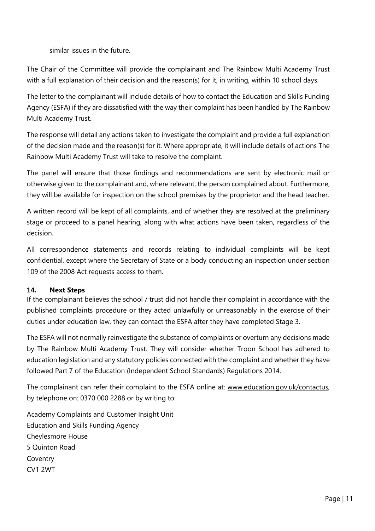similar issues in the future.

The Chair of the Committee will provide the complainant and The Rainbow Multi Academy Trust with a full explanation of their decision and the reason(s) for it, in writing, within 10 school days.

The letter to the complainant will include details of how to contact the Education and Skills Funding Agency (ESFA) if they are dissatisfied with the way their complaint has been handled by The Rainbow Multi Academy Trust.

The response will detail any actions taken to investigate the complaint and provide a full explanation of the decision made and the reason(s) for it. Where appropriate, it will include details of actions The Rainbow Multi Academy Trust will take to resolve the complaint.

The panel will ensure that those findings and recommendations are sent by electronic mail or otherwise given to the complainant and, where relevant, the person complained about. Furthermore, they will be available for inspection on the school premises by the proprietor and the head teacher.

A written record will be kept of all complaints, and of whether they are resolved at the preliminary stage or proceed to a panel hearing, along with what actions have been taken, regardless of the decision.

All correspondence statements and records relating to individual complaints will be kept confidential, except where the Secretary of State or a body conducting an inspection under section 109 of the 2008 Act requests access to them.

# **14. Next Steps**

If the complainant believes the school / trust did not handle their complaint in accordance with the published complaints procedure or they acted unlawfully or unreasonably in the exercise of their duties under education law, they can contact the ESFA after they have completed Stage 3.

The ESFA will not normally reinvestigate the substance of complaints or overturn any decisions made by The Rainbow Multi Academy Trust. They will consider whether Troon School has adhered to education legislation and any statutory policies connected with the complaint and whether they have followed [Part 7 of the Education \(Independent School Standards\) Regulations 2014.](http://www.legislation.gov.uk/uksi/2010/1997/schedule/1/made)

The complainant can refer their complaint to the ESFA online at: [www.education.gov.uk/contactus,](http://www.education.gov.uk/contactus) by telephone on: 0370 000 2288 or by writing to:

Academy Complaints and Customer Insight Unit Education and Skills Funding Agency Cheylesmore House 5 Quinton Road Coventry CV1 2WT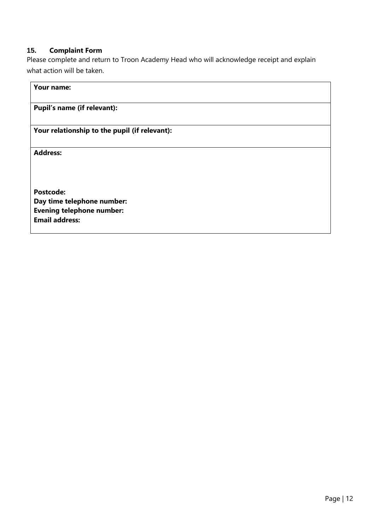#### **15. Complaint Form**

Please complete and return to Troon Academy Head who will acknowledge receipt and explain what action will be taken.

# **Your name:**

# **Pupil's name (if relevant):**

# **Your relationship to the pupil (if relevant):**

**Address:** 

**Postcode: Day time telephone number: Evening telephone number: Email address:**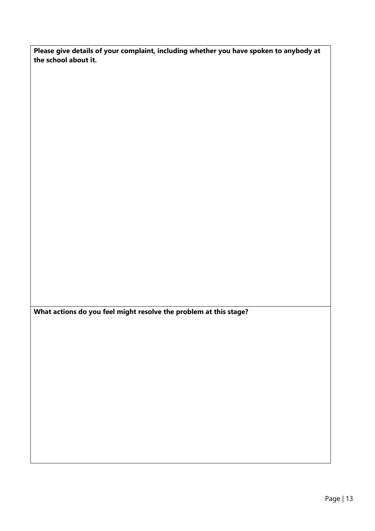**Please give details of your complaint, including whether you have spoken to anybody at the school about it.**

**What actions do you feel might resolve the problem at this stage?**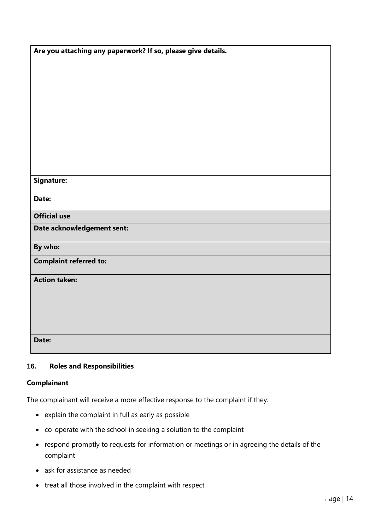| Are you attaching any paperwork? If so, please give details. |
|--------------------------------------------------------------|
|                                                              |
|                                                              |
|                                                              |
|                                                              |
|                                                              |
|                                                              |
|                                                              |
|                                                              |
| <b>Signature:</b>                                            |
| Date:                                                        |
|                                                              |
| <b>Official use</b>                                          |
| Date acknowledgement sent:                                   |
| By who:                                                      |
| <b>Complaint referred to:</b>                                |
| <b>Action taken:</b>                                         |
|                                                              |
|                                                              |
|                                                              |
| Date:                                                        |
|                                                              |

# **16. Roles and Responsibilities**

#### **Complainant**

The complainant will receive a more effective response to the complaint if they:

- explain the complaint in full as early as possible
- co-operate with the school in seeking a solution to the complaint
- respond promptly to requests for information or meetings or in agreeing the details of the complaint
- ask for assistance as needed
- treat all those involved in the complaint with respect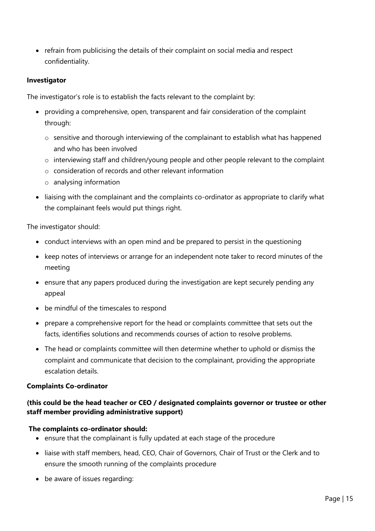• refrain from publicising the details of their complaint on social media and respect confidentiality.

#### **Investigator**

The investigator's role is to establish the facts relevant to the complaint by:

- providing a comprehensive, open, transparent and fair consideration of the complaint through:
	- o sensitive and thorough interviewing of the complainant to establish what has happened and who has been involved
	- o interviewing staff and children/young people and other people relevant to the complaint
	- o consideration of records and other relevant information
	- o analysing information
- liaising with the complainant and the complaints co-ordinator as appropriate to clarify what the complainant feels would put things right.

The investigator should:

- conduct interviews with an open mind and be prepared to persist in the questioning
- keep notes of interviews or arrange for an independent note taker to record minutes of the meeting
- ensure that any papers produced during the investigation are kept securely pending any appeal
- be mindful of the timescales to respond
- prepare a comprehensive report for the head or complaints committee that sets out the facts, identifies solutions and recommends courses of action to resolve problems.
- The head or complaints committee will then determine whether to uphold or dismiss the complaint and communicate that decision to the complainant, providing the appropriate escalation details.

#### **Complaints Co-ordinator**

# **(this could be the head teacher or CEO / designated complaints governor or trustee or other staff member providing administrative support)**

#### **The complaints co-ordinator should:**

- ensure that the complainant is fully updated at each stage of the procedure
- liaise with staff members, head, CEO, Chair of Governors, Chair of Trust or the Clerk and to ensure the smooth running of the complaints procedure
- be aware of issues regarding: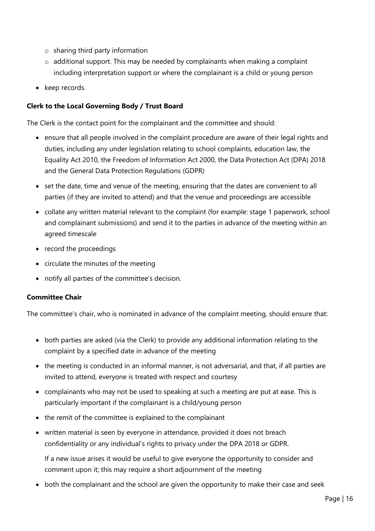- o sharing third party information
- $\circ$  additional support. This may be needed by complainants when making a complaint including interpretation support or where the complainant is a child or young person
- keep records.

#### **Clerk to the Local Governing Body / Trust Board**

The Clerk is the contact point for the complainant and the committee and should:

- ensure that all people involved in the complaint procedure are aware of their legal rights and duties, including any under legislation relating to school complaints, education law, the Equality Act 2010, the Freedom of Information Act 2000, the Data Protection Act (DPA) 2018 and the General Data Protection Regulations (GDPR)
- set the date, time and venue of the meeting, ensuring that the dates are convenient to all parties (if they are invited to attend) and that the venue and proceedings are accessible
- collate any written material relevant to the complaint (for example: stage 1 paperwork, school and complainant submissions) and send it to the parties in advance of the meeting within an agreed timescale
- record the proceedings
- circulate the minutes of the meeting
- notify all parties of the committee's decision.

#### **Committee Chair**

The committee's chair, who is nominated in advance of the complaint meeting, should ensure that:

- both parties are asked (via the Clerk) to provide any additional information relating to the complaint by a specified date in advance of the meeting
- the meeting is conducted in an informal manner, is not adversarial, and that, if all parties are invited to attend, everyone is treated with respect and courtesy
- complainants who may not be used to speaking at such a meeting are put at ease. This is particularly important if the complainant is a child/young person
- the remit of the committee is explained to the complainant
- written material is seen by everyone in attendance, provided it does not breach confidentiality or any individual's rights to privacy under the DPA 2018 or GDPR.

If a new issue arises it would be useful to give everyone the opportunity to consider and comment upon it; this may require a short adjournment of the meeting

• both the complainant and the school are given the opportunity to make their case and seek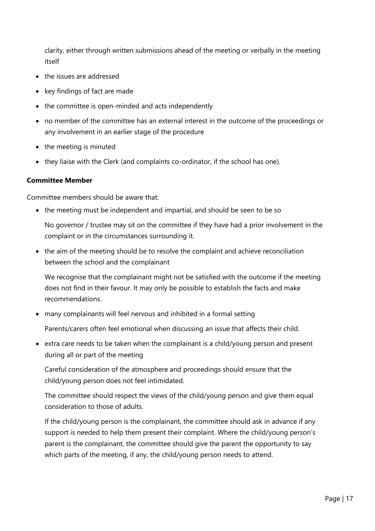clarity, either through written submissions ahead of the meeting or verbally in the meeting itself

- the issues are addressed
- key findings of fact are made
- the committee is open-minded and acts independently
- no member of the committee has an external interest in the outcome of the proceedings or any involvement in an earlier stage of the procedure
- the meeting is minuted
- they liaise with the Clerk (and complaints co-ordinator, if the school has one).

#### **Committee Member**

Committee members should be aware that:

• the meeting must be independent and impartial, and should be seen to be so

No governor / trustee may sit on the committee if they have had a prior involvement in the complaint or in the circumstances surrounding it.

• the aim of the meeting should be to resolve the complaint and achieve reconciliation between the school and the complainant

We recognise that the complainant might not be satisfied with the outcome if the meeting does not find in their favour. It may only be possible to establish the facts and make recommendations.

• many complainants will feel nervous and inhibited in a formal setting

Parents/carers often feel emotional when discussing an issue that affects their child.

• extra care needs to be taken when the complainant is a child/young person and present during all or part of the meeting

Careful consideration of the atmosphere and proceedings should ensure that the child/young person does not feel intimidated.

The committee should respect the views of the child/young person and give them equal consideration to those of adults.

If the child/young person is the complainant, the committee should ask in advance if any support is needed to help them present their complaint. Where the child/young person's parent is the complainant, the committee should give the parent the opportunity to say which parts of the meeting, if any, the child/young person needs to attend.